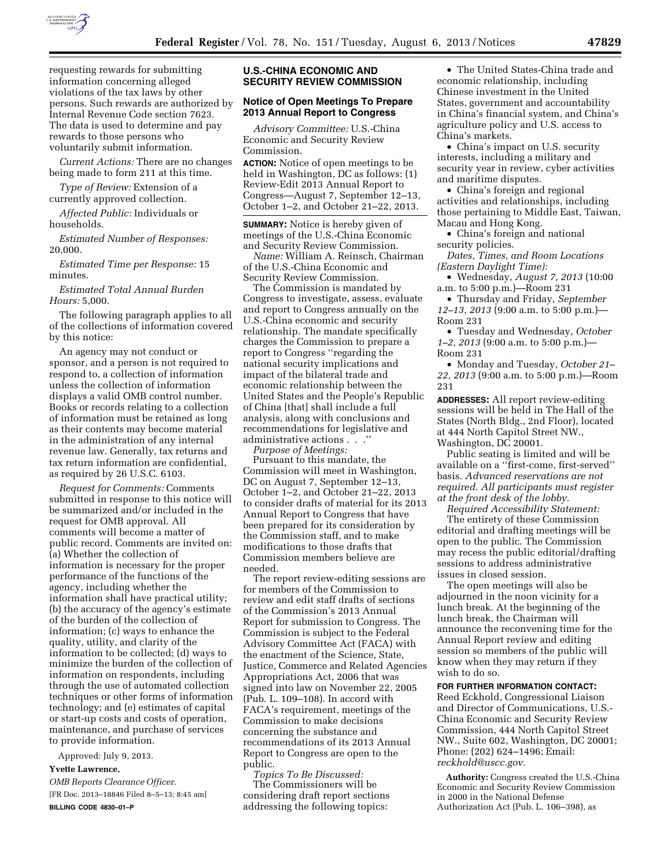

requesting rewards for submitting information concerning alleged violations of the tax laws by other persons. Such rewards are authorized by Internal Revenue Code section 7623. The data is used to determine and pay rewards to those persons who voluntarily submit information.

*Current Actions:* There are no changes being made to form 211 at this time.

*Type of Review:* Extension of a currently approved collection.

*Affected Public:* Individuals or households.

*Estimated Number of Responses:*  20,000.

*Estimated Time per Response:* 15 minutes.

*Estimated Total Annual Burden Hours:* 5,000.

The following paragraph applies to all of the collections of information covered by this notice:

An agency may not conduct or sponsor, and a person is not required to respond to, a collection of information unless the collection of information displays a valid OMB control number. Books or records relating to a collection of information must be retained as long as their contents may become material in the administration of any internal revenue law. Generally, tax returns and tax return information are confidential, as required by 26 U.S.C. 6103.

*Request for Comments:* Comments submitted in response to this notice will be summarized and/or included in the request for OMB approval. All comments will become a matter of public record. Comments are invited on: (a) Whether the collection of information is necessary for the proper performance of the functions of the agency, including whether the information shall have practical utility; (b) the accuracy of the agency's estimate of the burden of the collection of information; (c) ways to enhance the quality, utility, and clarity of the information to be collected; (d) ways to minimize the burden of the collection of information on respondents, including through the use of automated collection techniques or other forms of information technology; and (e) estimates of capital or start-up costs and costs of operation, maintenance, and purchase of services to provide information.

Approved: July 9, 2013.

#### **Yvette Lawrence,**

*OMB Reports Clearance Officer.*  [FR Doc. 2013–18846 Filed 8–5–13; 8:45 am] **BILLING CODE 4830–01–P** 

## **U.S.-CHINA ECONOMIC AND SECURITY REVIEW COMMISSION**

# **Notice of Open Meetings To Prepare 2013 Annual Report to Congress**

*Advisory Committee:* U.S.-China Economic and Security Review Commission.

**ACTION:** Notice of open meetings to be held in Washington, DC as follows: (1) Review-Edit 2013 Annual Report to Congress—August 7, September 12–13, October 1–2, and October 21–22, 2013.

**SUMMARY:** Notice is hereby given of meetings of the U.S.-China Economic and Security Review Commission.

*Name:* William A. Reinsch, Chairman of the U.S.-China Economic and Security Review Commission.

The Commission is mandated by Congress to investigate, assess, evaluate and report to Congress annually on the U.S.-China economic and security relationship. The mandate specifically charges the Commission to prepare a report to Congress ''regarding the national security implications and impact of the bilateral trade and economic relationship between the United States and the People's Republic of China [that] shall include a full analysis, along with conclusions and recommendations for legislative and administrative actions . . .''

*Purpose of Meetings:* 

Pursuant to this mandate, the Commission will meet in Washington, DC on August 7, September 12–13, October 1–2, and October 21–22, 2013 to consider drafts of material for its 2013 Annual Report to Congress that have been prepared for its consideration by the Commission staff, and to make modifications to those drafts that Commission members believe are needed.

The report review-editing sessions are for members of the Commission to review and edit staff drafts of sections of the Commission's 2013 Annual Report for submission to Congress. The Commission is subject to the Federal Advisory Committee Act (FACA) with the enactment of the Science, State, Justice, Commerce and Related Agencies Appropriations Act, 2006 that was signed into law on November 22, 2005 (Pub. L. 109–108). In accord with FACA's requirement, meetings of the Commission to make decisions concerning the substance and recommendations of its 2013 Annual Report to Congress are open to the public.

*Topics To Be Discussed:*  The Commissioners will be considering draft report sections addressing the following topics:

• The United States-China trade and economic relationship, including Chinese investment in the United States, government and accountability in China's financial system, and China's agriculture policy and U.S. access to China's markets.

• China's impact on U.S. security interests, including a military and security year in review, cyber activities and maritime disputes.

• China's foreign and regional activities and relationships, including those pertaining to Middle East, Taiwan, Macau and Hong Kong.

• China's foreign and national security policies.

*Dates, Times, and Room Locations (Eastern Daylight Time):* 

• Wednesday, *August 7, 2013* (10:00 a.m. to 5:00 p.m.)—Room 231

• Thursday and Friday, *September 12–13, 2013* (9:00 a.m. to 5:00 p.m.)— Room 231

• Tuesday and Wednesday, *October 1–2, 2013* (9:00 a.m. to 5:00 p.m.)— Room 231

• Monday and Tuesday, *October 21– 22, 2013* (9:00 a.m. to 5:00 p.m.)—Room 231

**ADDRESSES:** All report review-editing sessions will be held in The Hall of the States (North Bldg., 2nd Floor), located at 444 North Capitol Street NW., Washington, DC 20001.

Public seating is limited and will be available on a ''first-come, first-served'' basis. *Advanced reservations are not required. All participants must register at the front desk of the lobby.* 

*Required Accessibility Statement:* 

The entirety of these Commission editorial and drafting meetings will be open to the public. The Commission may recess the public editorial/drafting sessions to address administrative issues in closed session.

The open meetings will also be adjourned in the noon vicinity for a lunch break. At the beginning of the lunch break, the Chairman will announce the reconvening time for the Annual Report review and editing session so members of the public will know when they may return if they wish to do so.

# **FOR FURTHER INFORMATION CONTACT:**

Reed Eckhold, Congressional Liaison and Director of Communications, U.S.- China Economic and Security Review Commission, 444 North Capitol Street NW., Suite 602, Washington, DC 20001; Phone: (202) 624–1496; Email: *[reckhold@uscc.gov.](mailto:reckhold@uscc.gov)* 

**Authority:** Congress created the U.S.-China Economic and Security Review Commission in 2000 in the National Defense Authorization Act (Pub. L. 106–398), as